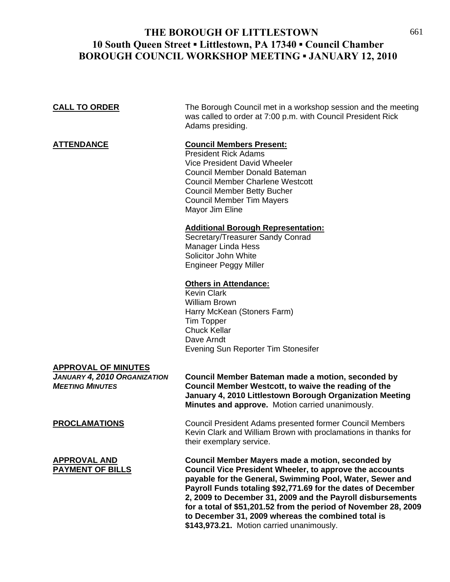## THE BOROUGH OF LITTLESTOWN 661 **10 South Queen Street ▪ Littlestown, PA 17340 ▪ Council Chamber BOROUGH COUNCIL WORKSHOP MEETING ▪ JANUARY 12, 2010**

**CALL TO ORDER** The Borough Council met in a workshop session and the meeting

 Vice President David Wheeler Council Member Donald Bateman Council Member Charlene Westcott Council Member Betty Bucher Council Member Tim Mayers

Adams presiding.

President Rick Adams

**ATTENDANCE Council Members Present:**

was called to order at 7:00 p.m. with Council President Rick

|                                                                                      | Mayor Jim Eline                                                                                                                                                                                                                                                                                                                                                                                                                                                                    |
|--------------------------------------------------------------------------------------|------------------------------------------------------------------------------------------------------------------------------------------------------------------------------------------------------------------------------------------------------------------------------------------------------------------------------------------------------------------------------------------------------------------------------------------------------------------------------------|
|                                                                                      | <b>Additional Borough Representation:</b><br>Secretary/Treasurer Sandy Conrad<br><b>Manager Linda Hess</b><br>Solicitor John White<br><b>Engineer Peggy Miller</b>                                                                                                                                                                                                                                                                                                                 |
|                                                                                      | <b>Others in Attendance:</b><br><b>Kevin Clark</b><br><b>William Brown</b><br>Harry McKean (Stoners Farm)<br><b>Tim Topper</b><br><b>Chuck Kellar</b><br>Dave Arndt<br>Evening Sun Reporter Tim Stonesifer                                                                                                                                                                                                                                                                         |
| <u>APPROVAL OF MINUTES</u><br>JANUARY 4, 2010 ORGANIZATION<br><b>MEETING MINUTES</b> | Council Member Bateman made a motion, seconded by<br>Council Member Westcott, to waive the reading of the<br>January 4, 2010 Littlestown Borough Organization Meeting<br>Minutes and approve. Motion carried unanimously.                                                                                                                                                                                                                                                          |
| <b>PROCLAMATIONS</b>                                                                 | Council President Adams presented former Council Members<br>Kevin Clark and William Brown with proclamations in thanks for<br>their exemplary service.                                                                                                                                                                                                                                                                                                                             |
| <b>APPROVAL AND</b><br><b>PAYMENT OF BILLS</b>                                       | Council Member Mayers made a motion, seconded by<br><b>Council Vice President Wheeler, to approve the accounts</b><br>payable for the General, Swimming Pool, Water, Sewer and<br>Payroll Funds totaling \$92,771.69 for the dates of December<br>2, 2009 to December 31, 2009 and the Payroll disbursements<br>for a total of \$51,201.52 from the period of November 28, 2009<br>to December 31, 2009 whereas the combined total is<br>\$143,973.21. Motion carried unanimously. |
|                                                                                      |                                                                                                                                                                                                                                                                                                                                                                                                                                                                                    |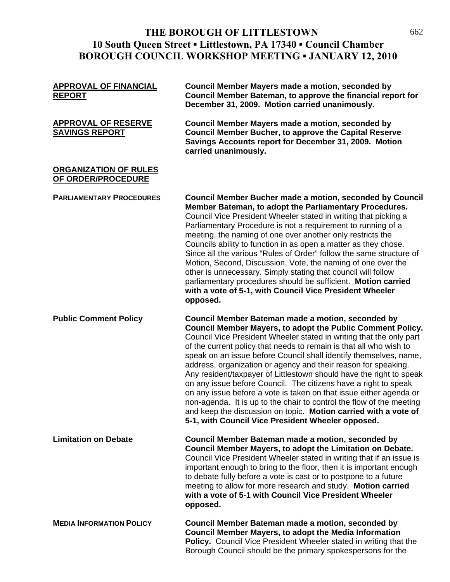# THE BOROUGH OF LITTLESTOWN 662 **10 South Queen Street ▪ Littlestown, PA 17340 ▪ Council Chamber BOROUGH COUNCIL WORKSHOP MEETING ▪ JANUARY 12, 2010**

| <b>APPROVAL OF FINANCIAL</b><br><b>REPORT</b>       | <b>Council Member Mayers made a motion, seconded by</b><br>Council Member Bateman, to approve the financial report for<br>December 31, 2009. Motion carried unanimously.                                                                                                                                                                                                                                                                                                                                                                                                                                                                                                                                                                                                                                            |
|-----------------------------------------------------|---------------------------------------------------------------------------------------------------------------------------------------------------------------------------------------------------------------------------------------------------------------------------------------------------------------------------------------------------------------------------------------------------------------------------------------------------------------------------------------------------------------------------------------------------------------------------------------------------------------------------------------------------------------------------------------------------------------------------------------------------------------------------------------------------------------------|
| <b>APPROVAL OF RESERVE</b><br><b>SAVINGS REPORT</b> | <b>Council Member Mayers made a motion, seconded by</b><br><b>Council Member Bucher, to approve the Capital Reserve</b><br>Savings Accounts report for December 31, 2009. Motion<br>carried unanimously.                                                                                                                                                                                                                                                                                                                                                                                                                                                                                                                                                                                                            |
| <b>ORGANIZATION OF RULES</b><br>OF ORDER/PROCEDURE  |                                                                                                                                                                                                                                                                                                                                                                                                                                                                                                                                                                                                                                                                                                                                                                                                                     |
| <b>PARLIAMENTARY PROCEDURES</b>                     | Council Member Bucher made a motion, seconded by Council<br>Member Bateman, to adopt the Parliamentary Procedures.<br>Council Vice President Wheeler stated in writing that picking a<br>Parliamentary Procedure is not a requirement to running of a<br>meeting, the naming of one over another only restricts the<br>Councils ability to function in as open a matter as they chose.<br>Since all the various "Rules of Order" follow the same structure of<br>Motion, Second, Discussion, Vote, the naming of one over the<br>other is unnecessary. Simply stating that council will follow<br>parliamentary procedures should be sufficient. Motion carried<br>with a vote of 5-1, with Council Vice President Wheeler<br>opposed.                                                                              |
| <b>Public Comment Policy</b>                        | Council Member Bateman made a motion, seconded by<br>Council Member Mayers, to adopt the Public Comment Policy.<br>Council Vice President Wheeler stated in writing that the only part<br>of the current policy that needs to remain is that all who wish to<br>speak on an issue before Council shall identify themselves, name,<br>address, organization or agency and their reason for speaking.<br>Any resident/taxpayer of Littlestown should have the right to speak<br>on any issue before Council. The citizens have a right to speak<br>on any issue before a vote is taken on that issue either agenda or<br>non-agenda. It is up to the chair to control the flow of the meeting<br>and keep the discussion on topic. Motion carried with a vote of<br>5-1, with Council Vice President Wheeler opposed. |
| <b>Limitation on Debate</b>                         | Council Member Bateman made a motion, seconded by<br>Council Member Mayers, to adopt the Limitation on Debate.<br>Council Vice President Wheeler stated in writing that if an issue is<br>important enough to bring to the floor, then it is important enough<br>to debate fully before a vote is cast or to postpone to a future<br>meeting to allow for more research and study. Motion carried<br>with a vote of 5-1 with Council Vice President Wheeler<br>opposed.                                                                                                                                                                                                                                                                                                                                             |
| <b>MEDIA INFORMATION POLICY</b>                     | Council Member Bateman made a motion, seconded by<br><b>Council Member Mayers, to adopt the Media Information</b><br><b>Policy.</b> Council Vice President Wheeler stated in writing that the<br>Borough Council should be the primary spokespersons for the                                                                                                                                                                                                                                                                                                                                                                                                                                                                                                                                                        |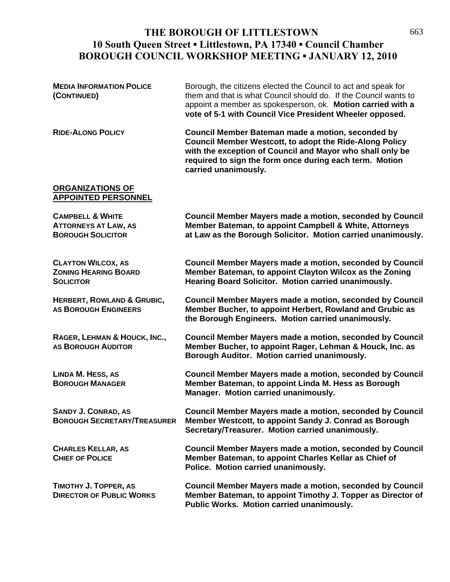## THE BOROUGH OF LITTLESTOWN 663 **10 South Queen Street ▪ Littlestown, PA 17340 ▪ Council Chamber BOROUGH COUNCIL WORKSHOP MEETING ▪ JANUARY 12, 2010**

| <b>MEDIA INFORMATION POLICE</b><br>(CONTINUED)                                         | Borough, the citizens elected the Council to act and speak for<br>them and that is what Council should do. If the Council wants to<br>appoint a member as spokesperson, ok. Motion carried with a<br>vote of 5-1 with Council Vice President Wheeler opposed. |
|----------------------------------------------------------------------------------------|---------------------------------------------------------------------------------------------------------------------------------------------------------------------------------------------------------------------------------------------------------------|
| <b>RIDE-ALONG POLICY</b>                                                               | Council Member Bateman made a motion, seconded by<br>Council Member Westcott, to adopt the Ride-Along Policy<br>with the exception of Council and Mayor who shall only be<br>required to sign the form once during each term. Motion<br>carried unanimously.  |
| <b>ORGANIZATIONS OF</b><br><b>APPOINTED PERSONNEL</b>                                  |                                                                                                                                                                                                                                                               |
| <b>CAMPBELL &amp; WHITE</b><br><b>ATTORNEYS AT LAW, AS</b><br><b>BOROUGH SOLICITOR</b> | <b>Council Member Mayers made a motion, seconded by Council</b><br>Member Bateman, to appoint Campbell & White, Attorneys<br>at Law as the Borough Solicitor. Motion carried unanimously.                                                                     |
| <b>CLAYTON WILCOX, AS</b><br><b>ZONING HEARING BOARD</b><br><b>SOLICITOR</b>           | <b>Council Member Mayers made a motion, seconded by Council</b><br>Member Bateman, to appoint Clayton Wilcox as the Zoning<br>Hearing Board Solicitor. Motion carried unanimously.                                                                            |
| <b>HERBERT, ROWLAND &amp; GRUBIC,</b><br><b>AS BOROUGH ENGINEERS</b>                   | <b>Council Member Mayers made a motion, seconded by Council</b><br>Member Bucher, to appoint Herbert, Rowland and Grubic as<br>the Borough Engineers. Motion carried unanimously.                                                                             |
| RAGER, LEHMAN & HOUCK, INC.,<br><b>AS BOROUGH AUDITOR</b>                              | <b>Council Member Mayers made a motion, seconded by Council</b><br>Member Bucher, to appoint Rager, Lehman & Houck, Inc. as<br>Borough Auditor. Motion carried unanimously.                                                                                   |
| <b>LINDA M. HESS, AS</b><br><b>BOROUGH MANAGER</b>                                     | <b>Council Member Mayers made a motion, seconded by Council</b><br>Member Bateman, to appoint Linda M. Hess as Borough<br>Manager. Motion carried unanimously.                                                                                                |
| <b>SANDY J. CONRAD, AS</b><br><b>BOROUGH SECRETARY/TREASURER</b>                       | Council Member Mayers made a motion, seconded by Council<br>Member Westcott, to appoint Sandy J. Conrad as Borough<br>Secretary/Treasurer. Motion carried unanimously.                                                                                        |
| <b>CHARLES KELLAR, AS</b><br><b>CHIEF OF POLICE</b>                                    | <b>Council Member Mayers made a motion, seconded by Council</b><br>Member Bateman, to appoint Charles Kellar as Chief of<br>Police. Motion carried unanimously.                                                                                               |
| TIMOTHY J. TOPPER, AS<br><b>DIRECTOR OF PUBLIC WORKS</b>                               | Council Member Mayers made a motion, seconded by Council<br>Member Bateman, to appoint Timothy J. Topper as Director of<br>Public Works. Motion carried unanimously.                                                                                          |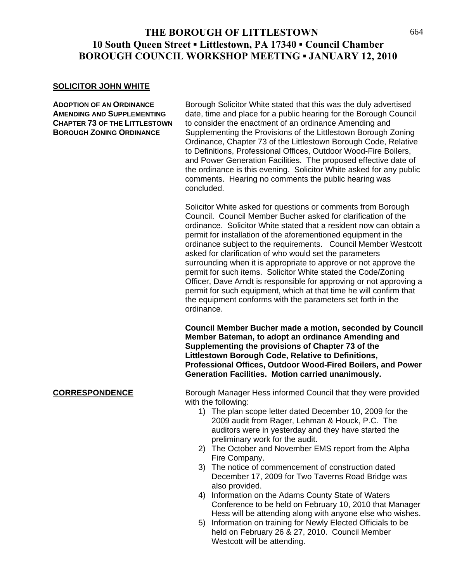## THE BOROUGH OF LITTLESTOWN 664 **10 South Queen Street ▪ Littlestown, PA 17340 ▪ Council Chamber BOROUGH COUNCIL WORKSHOP MEETING ▪ JANUARY 12, 2010**

### **SOLICITOR JOHN WHITE**

**ADOPTION OF AN ORDINANCE** Borough Solicitor White stated that this was the duly advertised **AMENDING AND SUPPLEMENTING** date, time and place for a public hearing for the Borough Council **CHAPTER 73 OF THE LITTLESTOWN** to consider the enactment of an ordinance Amending and **BOROUGH ZONING ORDINANCE** Supplementing the Provisions of the Littlestown Borough Zoning Ordinance, Chapter 73 of the Littlestown Borough Code, Relative to Definitions, Professional Offices, Outdoor Wood-Fire Boilers, and Power Generation Facilities. The proposed effective date of the ordinance is this evening. Solicitor White asked for any public comments. Hearing no comments the public hearing was concluded.

> Solicitor White asked for questions or comments from Borough Council. Council Member Bucher asked for clarification of the ordinance. Solicitor White stated that a resident now can obtain a permit for installation of the aforementioned equipment in the ordinance subject to the requirements. Council Member Westcott asked for clarification of who would set the parameters surrounding when it is appropriate to approve or not approve the permit for such items. Solicitor White stated the Code/Zoning Officer, Dave Arndt is responsible for approving or not approving a permit for such equipment, which at that time he will confirm that the equipment conforms with the parameters set forth in the ordinance.

> **Council Member Bucher made a motion, seconded by Council Member Bateman, to adopt an ordinance Amending and Supplementing the provisions of Chapter 73 of the Littlestown Borough Code, Relative to Definitions, Professional Offices, Outdoor Wood-Fired Boilers, and Power Generation Facilities. Motion carried unanimously.**

**CORRESPONDENCE** Borough Manager Hess informed Council that they were provided with the following:

- 1) The plan scope letter dated December 10, 2009 for the 2009 audit from Rager, Lehman & Houck, P.C. The auditors were in yesterday and they have started the preliminary work for the audit.
- 2) The October and November EMS report from the Alpha Fire Company.
- 3) The notice of commencement of construction dated December 17, 2009 for Two Taverns Road Bridge was also provided.
- 4) Information on the Adams County State of Waters Conference to be held on February 10, 2010 that Manager Hess will be attending along with anyone else who wishes.
- 5) Information on training for Newly Elected Officials to be held on February 26 & 27, 2010. Council Member Westcott will be attending.